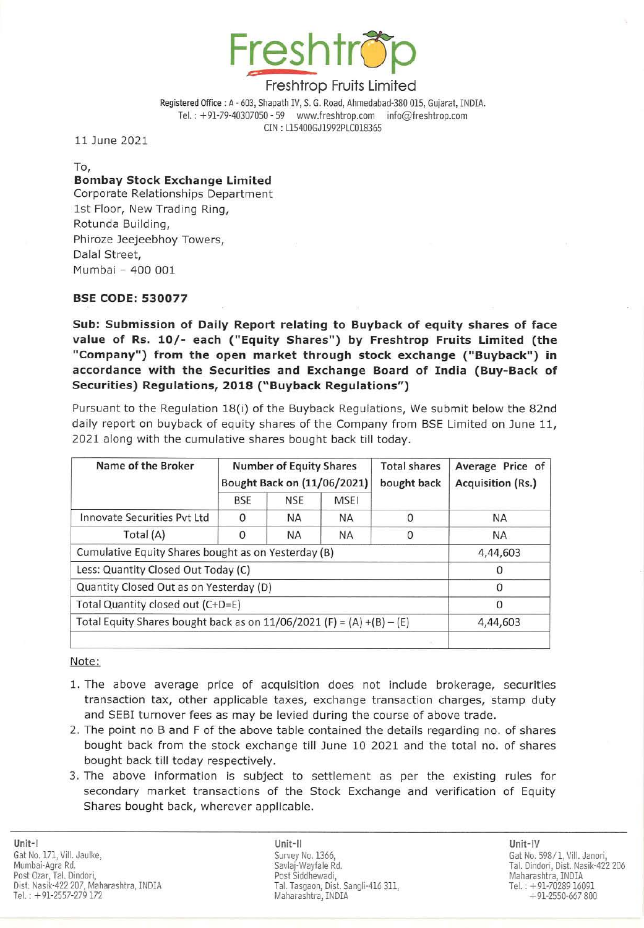

Registered Office : A - 603, Shapath IV, S. G. Road, Ahmedabad-380 015, Gujarat, INDIA. Tel.: +91-79-40307050 - 59 www.freshtrop.com info@freshtrop.com CIN : L154QOGJ1992PlC0l8365

11 June 2021

To, **Bombay Stock Exchange Limited** Corporate Relationships Department 1st Floor, New Trading Ring,

Rotunda Building, Phiroze Jeejeebhoy Towers, Dalal Street, Mumbai - 400 *001* 

## BSE CODE: 530077

Sub: Submission of Daily Report relating to Buyback of equity shares of face value of Rs. 10/- each ("Equity Shares") by Freshtrop Fruits Limited (the "Company") from the open market through stock exchange ("Buyback") in accordance with the Securities and Exchange Board of India (Buy-Back of Securities) Regulations, 2018 ("Buyback Regulations")

Pursuant to the Regulation 18(i) of the Buyback Regulations, We submit below the 82nd daily report on buyback of equity shares of the Company from BSE Limited on June 11, 2021 along with the cumulative shares bought back till today.

| Name of the Broker                                                      | <b>Number of Equity Shares</b><br>Bought Back on (11/06/2021) |            |           | <b>Total shares</b><br>bought back | Average Price of<br>Acquisition (Rs.) |
|-------------------------------------------------------------------------|---------------------------------------------------------------|------------|-----------|------------------------------------|---------------------------------------|
|                                                                         | BSE                                                           | <b>NSE</b> | MSEI      |                                    |                                       |
| Innovate Securities Pyt Ltd                                             | 0                                                             | <b>NA</b>  | <b>NA</b> |                                    | <b>NA</b>                             |
| Total (A)                                                               | 0                                                             | <b>NA</b>  | <b>NA</b> | $\Omega$                           | <b>NA</b>                             |
| Cumulative Equity Shares bought as on Yesterday (B)                     |                                                               |            |           |                                    | 4,44,603                              |
| Less: Quantity Closed Out Today (C)                                     |                                                               |            |           |                                    | 0                                     |
| Quantity Closed Out as on Yesterday (D)                                 |                                                               |            |           |                                    | $\Omega$                              |
| Total Quantity closed out (C+D=E)                                       |                                                               |            |           |                                    | 0                                     |
| Total Equity Shares bought back as on $11/06/2021$ (F) = (A) +(B) – (E) |                                                               |            |           |                                    | 4,44,603                              |
|                                                                         |                                                               |            |           | $\sim$                             |                                       |

Note:

- 1. The above average price of acquisition does not include brokerage, securities transaction tax, other applicable taxes, exchange transaction charges, stamp duty and SEBI turnover fees as may be levied during the course of above trade.
- 2. The point no B and F of the above table contained the details regarding no. of shares bought back from the stock exchange till June 10 2021 and the total no. of shares bought back till today respectively.
- 3. The above information is subject to settlement as per the existing rules for secondary market transactions of the Stock Exchange and verification of Equity Shares bought back, wherever applicable.

Unit-II Unit-IV Survey No. 1366, Savlaj-Wayfale Rd. Post Siddhewadi, Tal. Tasgaon, Dist. Sangli-416 311, Maharashtra, INDIA

Gat No. 598/1, ViII. Janori, Tal. Dindori, Dist. Nasik-422 206 Tel.: +91-70289 16091  $+91-2550-667800$